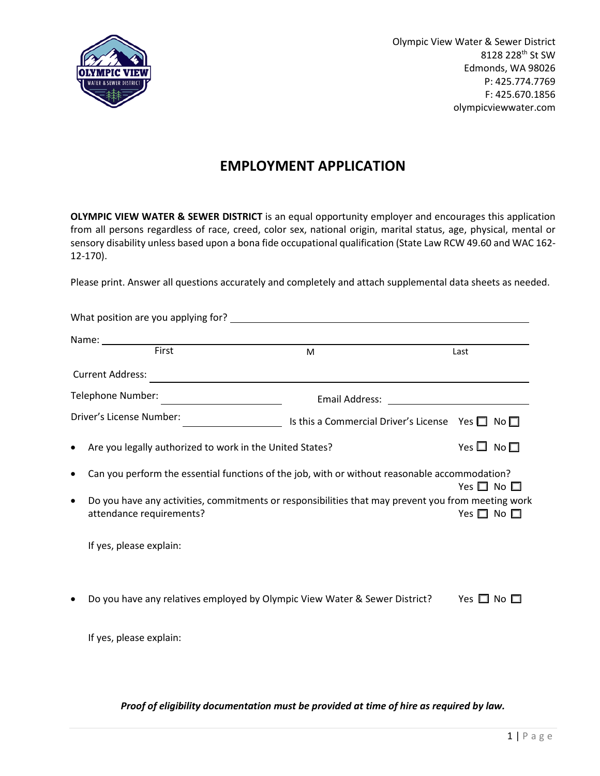

Olympic View Water & Sewer District 8128 228th St SW Edmonds, WA 98026 P: 425.774.7769 F: 425.670.1856 olympicviewwater.com

## **EMPLOYMENT APPLICATION**

**OLYMPIC VIEW WATER & SEWER DISTRICT** is an equal opportunity employer and encourages this application from all persons regardless of race, creed, color sex, national origin, marital status, age, physical, mental or sensory disability unless based upon a bona fide occupational qualification (State Law RCW 49.60 and WAC 162- 12-170).

Please print. Answer all questions accurately and completely and attach supplemental data sheets as needed.

|           | Name: First                                                                                                                 | M                                                                                                  | Last                       |  |
|-----------|-----------------------------------------------------------------------------------------------------------------------------|----------------------------------------------------------------------------------------------------|----------------------------|--|
|           | <b>Current Address:</b>                                                                                                     |                                                                                                    |                            |  |
|           | Telephone Number:<br><u> 1989 - Johann Barbara, martin a</u>                                                                |                                                                                                    |                            |  |
|           | Driver's License Number:                                                                                                    | Is this a Commercial Driver's License Yes $\Box$ No $\Box$<br>$\overline{\phantom{a}}$             |                            |  |
| $\bullet$ | Are you legally authorized to work in the United States?                                                                    |                                                                                                    | Yes $\square$ No $\square$ |  |
| $\bullet$ | Can you perform the essential functions of the job, with or without reasonable accommodation?<br>Yes $\square$ No $\square$ |                                                                                                    |                            |  |
| $\bullet$ | attendance requirements?                                                                                                    | Do you have any activities, commitments or responsibilities that may prevent you from meeting work | Yes $\square$ No $\square$ |  |
|           | If yes, please explain:                                                                                                     |                                                                                                    |                            |  |
| ٠         |                                                                                                                             | Do you have any relatives employed by Olympic View Water & Sewer District?                         | Yes $\square$ No $\square$ |  |
|           | If yes, please explain:                                                                                                     |                                                                                                    |                            |  |
|           |                                                                                                                             |                                                                                                    |                            |  |

#### *Proof of eligibility documentation must be provided at time of hire as required by law.*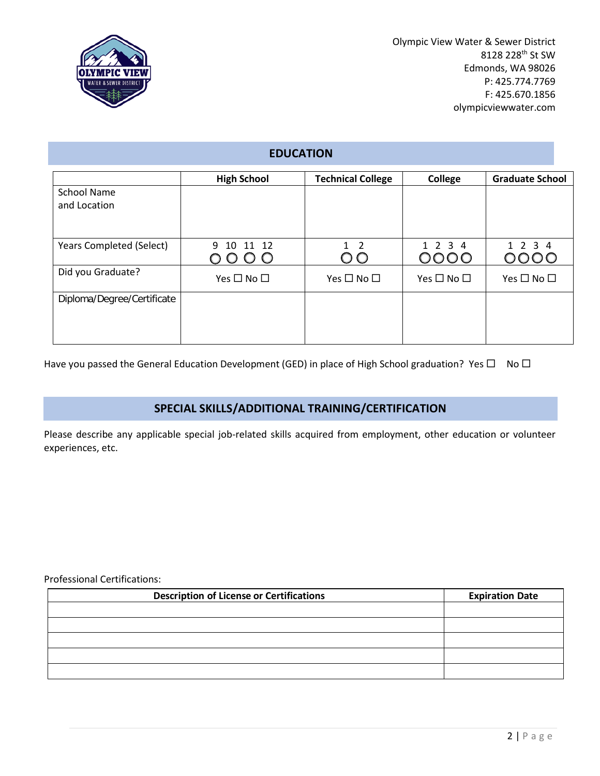

Olympic View Water & Sewer District 8128 228th St SW Edmonds, WA 98026 P: 425.774.7769 F: 425.670.1856 olympicviewwater.com

## **EDUCATION**

|                                 | <b>High School</b>         | <b>Technical College</b>   | College                    | <b>Graduate School</b>     |
|---------------------------------|----------------------------|----------------------------|----------------------------|----------------------------|
| <b>School Name</b>              |                            |                            |                            |                            |
| and Location                    |                            |                            |                            |                            |
|                                 |                            |                            |                            |                            |
|                                 |                            |                            |                            |                            |
| <b>Years Completed (Select)</b> | 9 10 11 12                 | $1\quad 2$                 | 1 2 3 4                    | 1 2 3 4                    |
|                                 | O O                        | $\cup$<br>O                | 0000                       |                            |
| Did you Graduate?               | Yes $\square$ No $\square$ | Yes $\square$ No $\square$ | Yes $\square$ No $\square$ | Yes $\square$ No $\square$ |
|                                 |                            |                            |                            |                            |
| Diploma/Degree/Certificate      |                            |                            |                            |                            |
|                                 |                            |                            |                            |                            |
|                                 |                            |                            |                            |                            |
|                                 |                            |                            |                            |                            |

Have you passed the General Education Development (GED) in place of High School graduation? Yes  $\Box$  No  $\Box$ 

## **SPECIAL SKILLS/ADDITIONAL TRAINING/CERTIFICATION**

Please describe any applicable special job-related skills acquired from employment, other education or volunteer experiences, etc.

#### Professional Certifications:

| <b>Description of License or Certifications</b> | <b>Expiration Date</b> |  |  |
|-------------------------------------------------|------------------------|--|--|
|                                                 |                        |  |  |
|                                                 |                        |  |  |
|                                                 |                        |  |  |
|                                                 |                        |  |  |
|                                                 |                        |  |  |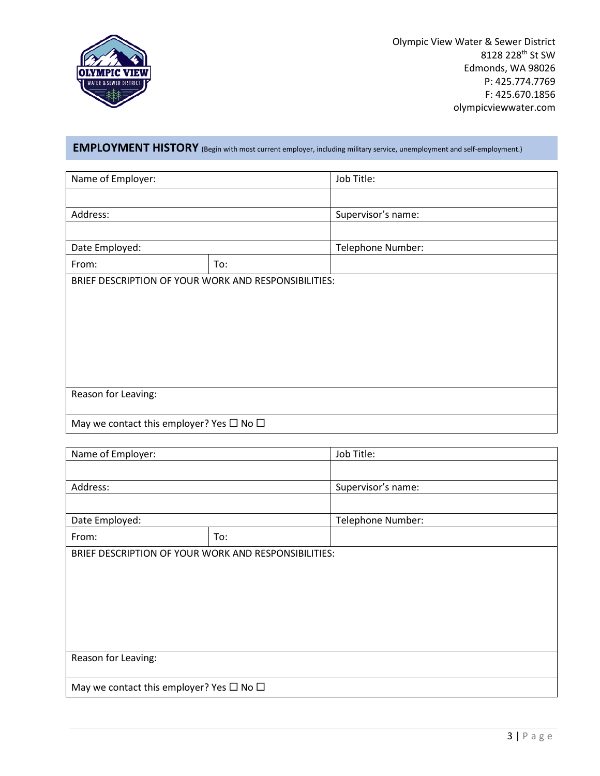

Olympic View Water & Sewer District 8128 228<sup>th</sup> St SW Edmonds, WA 98026 P: 425.774.7769 F: 425.670.1856 olympicviewwater.com

# **EMPLOYMENT HISTORY** (Begin with most current employer, including military service, unemployment and self-employment.)

| Name of Employer:                                    |  | Job Title:         |  |  |
|------------------------------------------------------|--|--------------------|--|--|
|                                                      |  |                    |  |  |
| Address:                                             |  | Supervisor's name: |  |  |
|                                                      |  |                    |  |  |
| Date Employed:                                       |  | Telephone Number:  |  |  |
| To:<br>From:                                         |  |                    |  |  |
| BRIEF DESCRIPTION OF YOUR WORK AND RESPONSIBILITIES: |  |                    |  |  |
|                                                      |  |                    |  |  |
|                                                      |  |                    |  |  |
|                                                      |  |                    |  |  |
|                                                      |  |                    |  |  |
|                                                      |  |                    |  |  |
|                                                      |  |                    |  |  |
| Reason for Leaving:                                  |  |                    |  |  |
|                                                      |  |                    |  |  |
| May we contact this employer? Yes $\Box$ No $\Box$   |  |                    |  |  |

| Name of Employer:                                  |                                                      | Job Title:         |  |  |
|----------------------------------------------------|------------------------------------------------------|--------------------|--|--|
|                                                    |                                                      |                    |  |  |
| Address:                                           |                                                      | Supervisor's name: |  |  |
|                                                    |                                                      |                    |  |  |
| Date Employed:                                     |                                                      | Telephone Number:  |  |  |
| From:<br>To:                                       |                                                      |                    |  |  |
|                                                    | BRIEF DESCRIPTION OF YOUR WORK AND RESPONSIBILITIES: |                    |  |  |
|                                                    |                                                      |                    |  |  |
|                                                    |                                                      |                    |  |  |
|                                                    |                                                      |                    |  |  |
|                                                    |                                                      |                    |  |  |
|                                                    |                                                      |                    |  |  |
|                                                    |                                                      |                    |  |  |
| Reason for Leaving:                                |                                                      |                    |  |  |
|                                                    |                                                      |                    |  |  |
| May we contact this employer? Yes $\Box$ No $\Box$ |                                                      |                    |  |  |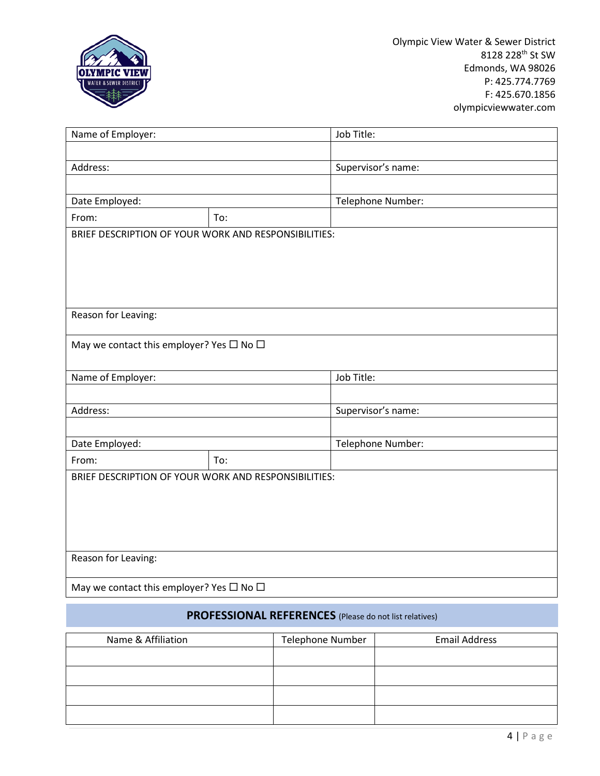

| Name of Employer:                                    |     | Job Title:         |  |  |
|------------------------------------------------------|-----|--------------------|--|--|
|                                                      |     |                    |  |  |
| Address:                                             |     | Supervisor's name: |  |  |
|                                                      |     |                    |  |  |
| Date Employed:                                       |     | Telephone Number:  |  |  |
| From:                                                | To: |                    |  |  |
| BRIEF DESCRIPTION OF YOUR WORK AND RESPONSIBILITIES: |     |                    |  |  |
|                                                      |     |                    |  |  |
|                                                      |     |                    |  |  |
|                                                      |     |                    |  |  |
|                                                      |     |                    |  |  |
| Reason for Leaving:                                  |     |                    |  |  |
| May we contact this employer? Yes $\Box$ No $\Box$   |     |                    |  |  |
|                                                      |     |                    |  |  |
| Name of Employer:                                    |     | Job Title:         |  |  |
|                                                      |     |                    |  |  |
| Address:                                             |     | Supervisor's name: |  |  |
|                                                      |     |                    |  |  |
| Date Employed:                                       |     | Telephone Number:  |  |  |
| To:<br>From:                                         |     |                    |  |  |
| BRIEF DESCRIPTION OF YOUR WORK AND RESPONSIBILITIES: |     |                    |  |  |
|                                                      |     |                    |  |  |
|                                                      |     |                    |  |  |
|                                                      |     |                    |  |  |
|                                                      |     |                    |  |  |
| Reason for Leaving:                                  |     |                    |  |  |
|                                                      |     |                    |  |  |
| May we contact this employer? Yes $\Box$ No $\Box$   |     |                    |  |  |

## **PROFESSIONAL REFERENCES** (Please do not list relatives)

| Name & Affiliation | Telephone Number | <b>Email Address</b> |
|--------------------|------------------|----------------------|
|                    |                  |                      |
|                    |                  |                      |
|                    |                  |                      |
|                    |                  |                      |